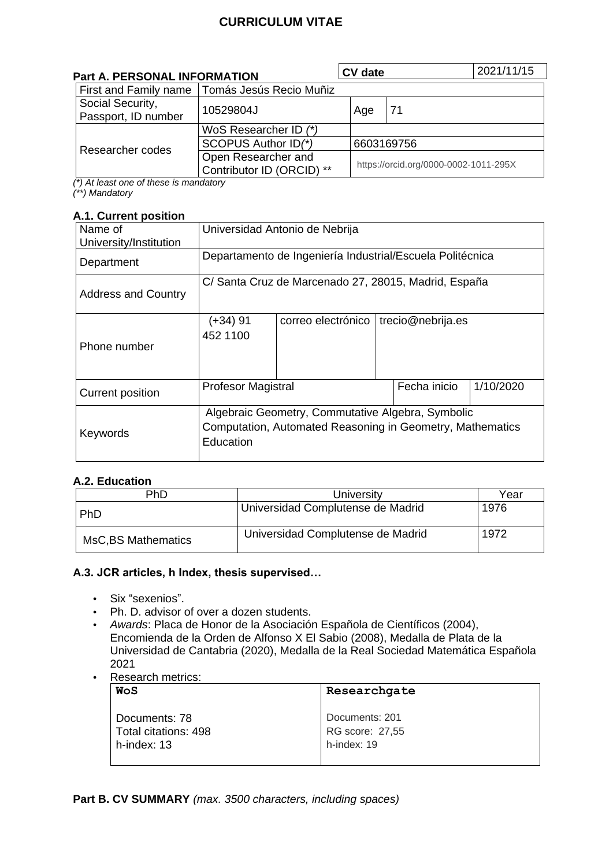# **CURRICULUM VITAE**

| <b>Part A. PERSONAL INFORMATION</b>     |                                                  | <b>CV</b> date |                                       | 2021/11/15 |
|-----------------------------------------|--------------------------------------------------|----------------|---------------------------------------|------------|
|                                         | First and Family name   Tomás Jesús Recio Muñiz  |                |                                       |            |
| Social Security,<br>Passport, ID number | 10529804J                                        | Age            | 71                                    |            |
| Researcher codes                        | WoS Researcher ID (*)                            |                |                                       |            |
|                                         | SCOPUS Author ID(*)                              |                | 6603169756                            |            |
|                                         | Open Researcher and<br>Contributor ID (ORCID) ** |                | https://orcid.org/0000-0002-1011-295X |            |

*(\*) At least one of these is mandatory (\*\*) Mandatory*

#### **A.1. Current position**

| Name of<br>University/Institution | Universidad Antonio de Nebrija                                                                                              |                    |                   |           |
|-----------------------------------|-----------------------------------------------------------------------------------------------------------------------------|--------------------|-------------------|-----------|
| Department                        | Departamento de Ingeniería Industrial/Escuela Politécnica                                                                   |                    |                   |           |
| <b>Address and Country</b>        | C/ Santa Cruz de Marcenado 27, 28015, Madrid, España                                                                        |                    |                   |           |
| Phone number                      | (+34) 91<br>452 1100                                                                                                        | correo electrónico | trecio@nebrija.es |           |
| Current position                  | <b>Profesor Magistral</b>                                                                                                   |                    | Fecha inicio      | 1/10/2020 |
| Keywords                          | Algebraic Geometry, Commutative Algebra, Symbolic<br>Computation, Automated Reasoning in Geometry, Mathematics<br>Education |                    |                   |           |

## **A.2. Education**

| PhD                 | University                        | Year |
|---------------------|-----------------------------------|------|
| <b>PhD</b>          | Universidad Complutense de Madrid | 1976 |
| MsC, BS Mathematics | Universidad Complutense de Madrid | 1972 |

## **A.3. JCR articles, h Index, thesis supervised…**

- Six "sexenios".
- Ph. D. advisor of over a dozen students.
- *Awards*: Placa de Honor de la Asociación Española de Científicos (2004), Encomienda de la Orden de Alfonso X El Sabio (2008), Medalla de Plata de la Universidad de Cantabria (2020), Medalla de la Real Sociedad Matemática Española 2021
- Research metrics:

| WoS                  | Researchgate    |
|----------------------|-----------------|
| Documents: 78        | Documents: 201  |
| Total citations: 498 | RG score: 27,55 |
| h-index: 13          | h-index: 19     |

**Part B. CV SUMMARY** *(max. 3500 characters, including spaces)*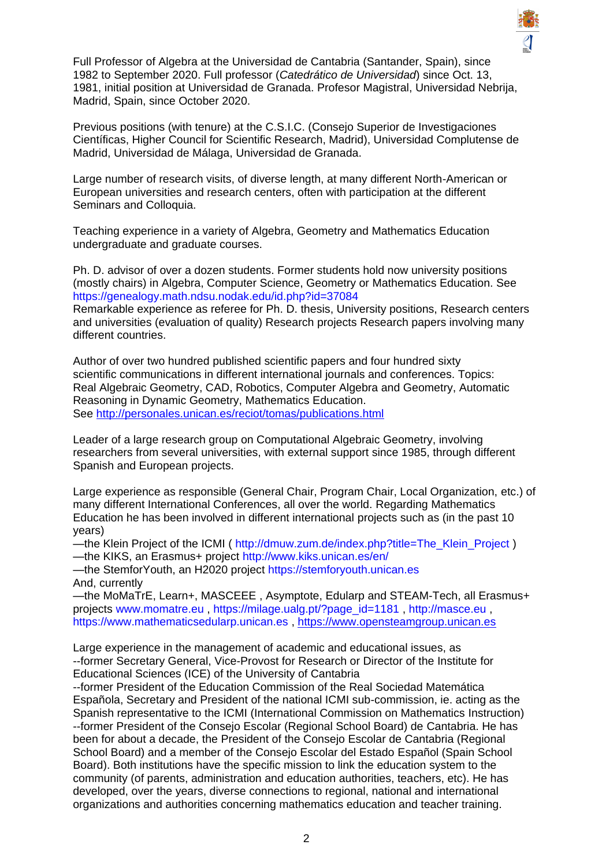

Full Professor of Algebra at the Universidad de Cantabria (Santander, Spain), since 1982 to September 2020. Full professor (*Catedrático de Universidad*) since Oct. 13, 1981, initial position at Universidad de Granada. Profesor Magistral, Universidad Nebrija, Madrid, Spain, since October 2020.

Previous positions (with tenure) at the C.S.I.C. (Consejo Superior de Investigaciones Científicas, Higher Council for Scientific Research, Madrid), Universidad Complutense de Madrid, Universidad de Málaga, Universidad de Granada.

Large number of research visits, of diverse length, at many different North-American or European universities and research centers, often with participation at the different Seminars and Colloquia.

Teaching experience in a variety of Algebra, Geometry and Mathematics Education undergraduate and graduate courses.

Ph. D. advisor of over a dozen students. Former students hold now university positions (mostly chairs) in Algebra, Computer Science, Geometry or Mathematics Education. See https://genealogy.math.ndsu.nodak.edu/id.php?id=37084

Remarkable experience as referee for Ph. D. thesis, University positions, Research centers and universities (evaluation of quality) Research projects Research papers involving many different countries.

Author of over two hundred published scientific papers and four hundred sixty scientific communications in different international journals and conferences. Topics: Real Algebraic Geometry, CAD, Robotics, Computer Algebra and Geometry, Automatic Reasoning in Dynamic Geometry, Mathematics Education. See<http://personales.unican.es/reciot/tomas/publications.html>

Leader of a large research group on Computational Algebraic Geometry, involving researchers from several universities, with external support since 1985, through different Spanish and European projects.

Large experience as responsible (General Chair, Program Chair, Local Organization, etc.) of many different International Conferences, all over the world. Regarding Mathematics Education he has been involved in different international projects such as (in the past 10 years)

—the Klein Project of the ICMI ( http://dmuw.zum.de/index.php?title=The\_Klein\_Project ) —the KIKS, an Erasmus+ project http://www.kiks.unican.es/en/

—the StemforYouth, an H2020 project https://stemforyouth.unican.es And, currently

—the MoMaTrE, Learn+, MASCEEE , Asymptote, Edularp and STEAM-Tech, all Erasmus+ projects www.momatre.eu , https://milage.ualg.pt/?page\_id=1181 , http://masce.eu , https://www.mathematicsedularp.unican.es , [https://www.opensteamgroup.unican.es](https://www.opensteamgroup.unican.es/)

Large experience in the management of academic and educational issues, as --former Secretary General, Vice-Provost for Research or Director of the Institute for Educational Sciences (ICE) of the University of Cantabria

--former President of the Education Commission of the Real Sociedad Matemática Española, Secretary and President of the national ICMI sub-commission, ie. acting as the Spanish representative to the ICMI (International Commission on Mathematics Instruction) --former President of the Consejo Escolar (Regional School Board) de Cantabria. He has been for about a decade, the President of the Consejo Escolar de Cantabria (Regional School Board) and a member of the Consejo Escolar del Estado Español (Spain School Board). Both institutions have the specific mission to link the education system to the community (of parents, administration and education authorities, teachers, etc). He has developed, over the years, diverse connections to regional, national and international organizations and authorities concerning mathematics education and teacher training.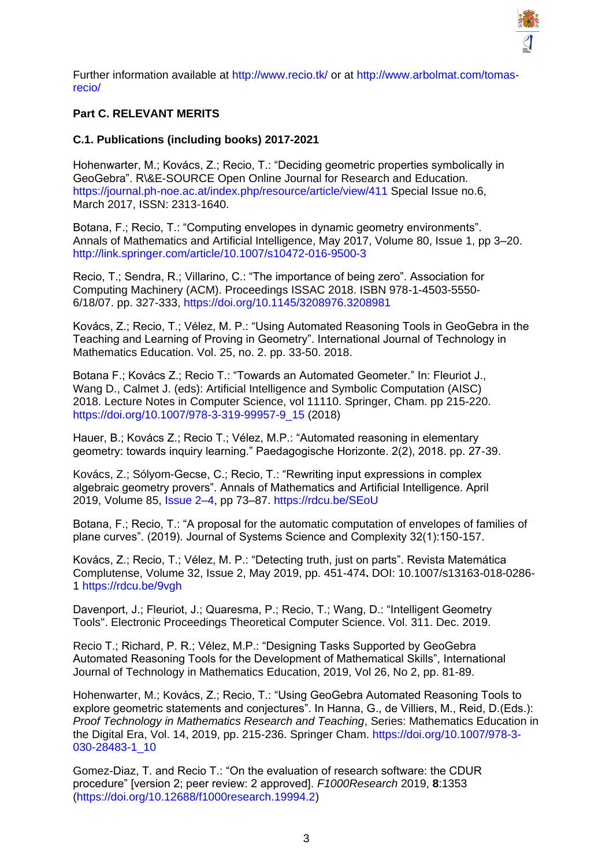

Further information available at http://www.recio.tk/ or at http://www.arbolmat.com/tomasrecio/

## **Part C. RELEVANT MERITS**

### **C.1. Publications (including books) 2017-2021**

Hohenwarter, M.; Kovács, Z.; Recio, T.: "Deciding geometric properties symbolically in GeoGebra". R\&E-SOURCE Open Online Journal for Research and Education. https://journal.ph-noe.ac.at/index.php/resource/article/view/411 Special Issue no.6, March 2017, ISSN: 2313-1640.

Botana, F.; Recio, T.: "Computing envelopes in dynamic geometry environments". Annals of Mathematics and Artificial Intelligence, May 2017, Volume 80, Issue 1, pp 3–20. http://link.springer.com/article/10.1007/s10472-016-9500-3

Recio, T.; Sendra, R.; Villarino, C.: "The importance of being zero". Association for Computing Machinery (ACM). Proceedings ISSAC 2018. ISBN 978-1-4503-5550- 6/18/07. pp. 327-333, https://doi.org/10.1145/3208976.3208981

Kovács, Z.; Recio, T.; Vélez, M. P.: "Using Automated Reasoning Tools in GeoGebra in the Teaching and Learning of Proving in Geometry". International Journal of Technology in Mathematics Education. Vol. 25, no. 2. pp. 33-50. 2018.

Botana F.; Kovács Z.; Recio T.: "Towards an Automated Geometer." In: Fleuriot J., Wang D., Calmet J. (eds): Artificial Intelligence and Symbolic Computation (AISC) 2018. Lecture Notes in Computer Science, vol 11110. Springer, Cham. pp 215-220. https://doi.org/10.1007/978-3-319-99957-9\_15 (2018)

Hauer, B.; Kovács Z.; Recio T.; Vélez, M.P.: "Automated reasoning in elementary geometry: towards inquiry learning." Paedagogische Horizonte. 2(2), 2018. pp. 27-39.

Kovács, Z.; Sólyom-Gecse, C.; Recio, T.: "Rewriting input expressions in complex algebraic geometry provers". Annals of Mathematics and Artificial Intelligence. April 2019, Volume 85, Issue 2–4, pp 73–87. https://rdcu.be/SEoU

Botana, F.; Recio, T.: "A proposal for the automatic computation of envelopes of families of plane curves". (2019). Journal of Systems Science and Complexity 32(1):150-157.

Kovács, Z.; Recio, T.; Vélez, M. P.: "Detecting truth, just on parts". Revista Matemática Complutense, Volume 32, Issue 2, May 2019, pp. 451-474**.** DOI: 10.1007/s13163-018-0286- 1 https://rdcu.be/9vgh

Davenport, J.; Fleuriot, J.; Quaresma, P.; Recio, T.; Wang, D.: "Intelligent Geometry Tools". Electronic Proceedings Theoretical Computer Science. Vol. 311. Dec. 2019.

Recio T.; Richard, P. R.; Vélez, M.P.: "Designing Tasks Supported by GeoGebra Automated Reasoning Tools for the Development of Mathematical Skills", International Journal of Technology in Mathematics Education, 2019, Vol 26, No 2, pp. 81-89.

Hohenwarter, M.; Kovács, Z.; Recio, T.: "Using GeoGebra Automated Reasoning Tools to explore geometric statements and conjectures". In Hanna, G., de Villiers, M., Reid, D.(Eds.): *Proof Technology in Mathematics Research and Teaching*, Series: Mathematics Education in the Digital Era, Vol. 14, 2019, pp. 215-236. Springer Cham. https://doi.org/10.1007/978-3- 030-28483-1\_10

Gomez-Diaz, T. and Recio T.: "On the evaluation of research software: the CDUR procedure" [version 2; peer review: 2 approved]. *F1000Research* 2019, **8**:1353 (https://doi.org/10.12688/f1000research.19994.2)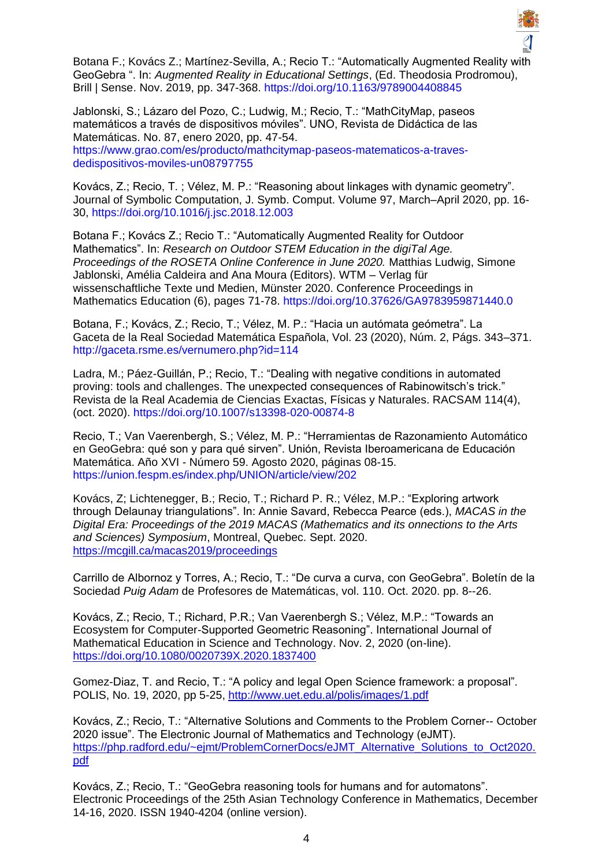

Botana F.; Kovács Z.; Martínez-Sevilla, A.; Recio T.: "Automatically Augmented Reality with GeoGebra ". In: *Augmented Reality in Educational Settings*, (Ed. Theodosia Prodromou), Brill | Sense. Nov. 2019, pp. 347-368. https://doi.org/10.1163/9789004408845

Jablonski, S.; Lázaro del Pozo, C.; Ludwig, M.; Recio, T.: "MathCityMap, paseos matemáticos a través de dispositivos móviles". UNO, Revista de Didáctica de las Matemáticas. No. 87, enero 2020, pp. 47-54. https://www.grao.com/es/producto/mathcitymap-paseos-matematicos-a-travesdedispositivos-moviles-un08797755

Kovács, Z.; Recio, T. ; Vélez, M. P.: "Reasoning about linkages with dynamic geometry". Journal of Symbolic Computation, J. Symb. Comput. Volume 97, March–April 2020, pp. 16- 30, https://doi.org/10.1016/j.jsc.2018.12.003

Botana F.; Kovács Z.; Recio T.: "Automatically Augmented Reality for Outdoor Mathematics". In: *Research on Outdoor STEM Education in the digiTal Age. Proceedings of the ROSETA Online Conference in June 2020.* Matthias Ludwig, Simone Jablonski, Amélia Caldeira and Ana Moura (Editors). WTM – Verlag für wissenschaftliche Texte und Medien, Münster 2020. Conference Proceedings in Mathematics Education (6), pages 71-78. https://doi.org/10.37626/GA9783959871440.0

Botana, F.; Kovács, Z.; Recio, T.; Vélez, M. P.: "Hacia un autómata geómetra". La Gaceta de la Real Sociedad Matemática Española, Vol. 23 (2020), Núm. 2, Págs. 343–371. http://gaceta.rsme.es/vernumero.php?id=114

Ladra, M.; Páez-Guillán, P.; Recio, T.: "Dealing with negative conditions in automated proving: tools and challenges. The unexpected consequences of Rabinowitsch's trick." Revista de la Real Academia de Ciencias Exactas, Físicas y Naturales. RACSAM 114(4), (oct. 2020). https://doi.org/10.1007/s13398-020-00874-8

Recio, T.; Van Vaerenbergh, S.; Vélez, M. P.: "Herramientas de Razonamiento Automático en GeoGebra: qué son y para qué sirven". Unión, Revista Iberoamericana de Educación Matemática. Año XVI - Número 59. Agosto 2020, páginas 08-15. https://union.fespm.es/index.php/UNION/article/view/202

Kovács, Z; Lichtenegger, B.; Recio, T.; Richard P. R.; Vélez, M.P.: "Exploring artwork through Delaunay triangulations". In: Annie Savard, Rebecca Pearce (eds.), *MACAS in the Digital Era: Proceedings of the 2019 MACAS (Mathematics and its onnections to the Arts and Sciences) Symposium*, Montreal, Quebec. Sept. 2020. <https://mcgill.ca/macas2019/proceedings>

Carrillo de Albornoz y Torres, A.; Recio, T.: "De curva a curva, con GeoGebra". Boletín de la Sociedad *Puig Adam* de Profesores de Matemáticas, vol. 110. Oct. 2020. pp. 8--26.

Kovács, Z.; Recio, T.; Richard, P.R.; Van Vaerenbergh S.; Vélez, M.P.: "Towards an Ecosystem for Computer-Supported Geometric Reasoning". International Journal of Mathematical Education in Science and Technology. Nov. 2, 2020 (on-line). <https://doi.org/10.1080/0020739X.2020.1837400>

Gomez-Diaz, T. and Recio, T.: "A policy and legal Open Science framework: a proposal". POLIS, No. 19, 2020, pp 5-25,<http://www.uet.edu.al/polis/images/1.pdf>

Kovács, Z.; Recio, T.: "Alternative Solutions and Comments to the Problem Corner-- October 2020 issue". The Electronic Journal of Mathematics and Technology (eJMT). https://php.radford.edu/~eimt/ProblemCornerDocs/eJMT\_Alternative\_Solutions\_to\_Oct2020. [pdf](https://php.radford.edu/~ejmt/ProblemCornerDocs/eJMT_Alternative_Solutions_to_Oct2020.pdf)

Kovács, Z.; Recio, T.: "GeoGebra reasoning tools for humans and for automatons". Electronic Proceedings of the 25th Asian Technology Conference in Mathematics, December 14-16, 2020. ISSN 1940-4204 (online version).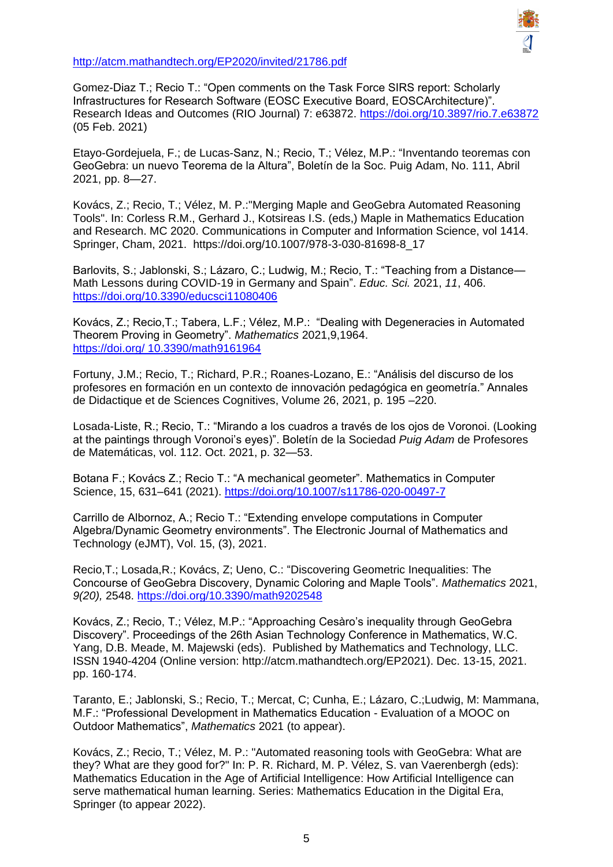

<http://atcm.mathandtech.org/EP2020/invited/21786.pdf>

Gomez-Diaz T.; Recio T.: "Open comments on the Task Force SIRS report: Scholarly Infrastructures for Research Software (EOSC Executive Board, EOSCArchitecture)". Research Ideas and Outcomes (RIO Journal) 7: e63872.<https://doi.org/10.3897/rio.7.e63872> (05 Feb. 2021)

Etayo-Gordejuela, F.; de Lucas-Sanz, N.; Recio, T.; Vélez, M.P.: "Inventando teoremas con GeoGebra: un nuevo Teorema de la Altura", Boletín de la Soc. Puig Adam, No. 111, Abril 2021, pp. 8—27.

Kovács, Z.; Recio, T.; Vélez, M. P.:"Merging Maple and GeoGebra Automated Reasoning Tools". In: Corless R.M., Gerhard J., Kotsireas I.S. (eds,) Maple in Mathematics Education and Research. MC 2020. Communications in Computer and Information Science, vol 1414. Springer, Cham, 2021. https://doi.org/10.1007/978-3-030-81698-8\_17

Barlovits, S.; Jablonski, S.; Lázaro, C.; Ludwig, M.; Recio, T.: "Teaching from a Distance— Math Lessons during COVID-19 in Germany and Spain". *Educ. Sci.* 2021, *11*, 406. <https://doi.org/10.3390/educsci11080406>

Kovács, Z.; Recio,T.; Tabera, L.F.; Vélez, M.P.: "Dealing with Degeneracies in Automated Theorem Proving in Geometry". *Mathematics* 2021,9,1964. [https://doi.org/ 10.3390/math9161964](https://doi.org/%2010.3390/math9161964)

Fortuny, J.M.; Recio, T.; Richard, P.R.; Roanes-Lozano, E.: "Análisis del discurso de los profesores en formación en un contexto de innovación pedagógica en geometría." Annales de Didactique et de Sciences Cognitives, Volume 26, 2021, p. 195 –220.

Losada-Liste, R.; Recio, T.: "Mirando a los cuadros a través de los ojos de Voronoi. (Looking at the paintings through Voronoi's eyes)". Boletín de la Sociedad *Puig Adam* de Profesores de Matemáticas, vol. 112. Oct. 2021, p. 32—53.

Botana F.; Kovács Z.; Recio T.: "A mechanical geometer". Mathematics in Computer Science, 15, 631–641 (2021).<https://doi.org/10.1007/s11786-020-00497-7>

Carrillo de Albornoz, A.; Recio T.: "Extending envelope computations in Computer Algebra/Dynamic Geometry environments". The Electronic Journal of Mathematics and Technology (eJMT), Vol. 15, (3), 2021.

Recio,T.; Losada,R.; Kovács, Z; Ueno, C.: "Discovering Geometric Inequalities: The Concourse of GeoGebra Discovery, Dynamic Coloring and Maple Tools". *Mathematics* 2021, *9(20),* 2548.<https://doi.org/10.3390/math9202548>

Kovács, Z.; Recio, T.; Vélez, M.P.: "Approaching Cesàro's inequality through GeoGebra Discovery". Proceedings of the 26th Asian Technology Conference in Mathematics, W.C. Yang, D.B. Meade, M. Majewski (eds). Published by Mathematics and Technology, LLC. ISSN 1940-4204 (Online version: http://atcm.mathandtech.org/EP2021). Dec. 13-15, 2021. pp. 160-174.

Taranto, E.; Jablonski, S.; Recio, T.; Mercat, C; Cunha, E.; Lázaro, C.;Ludwig, M: Mammana, M.F.: "Professional Development in Mathematics Education - Evaluation of a MOOC on Outdoor Mathematics", *Mathematics* 2021 (to appear).

Kovács, Z.; Recio, T.; Vélez, M. P.: "Automated reasoning tools with GeoGebra: What are they? What are they good for?" In: P. R. Richard, M. P. Vélez, S. van Vaerenbergh (eds): Mathematics Education in the Age of Artificial Intelligence: How Artificial Intelligence can serve mathematical human learning. Series: Mathematics Education in the Digital Era, Springer (to appear 2022).